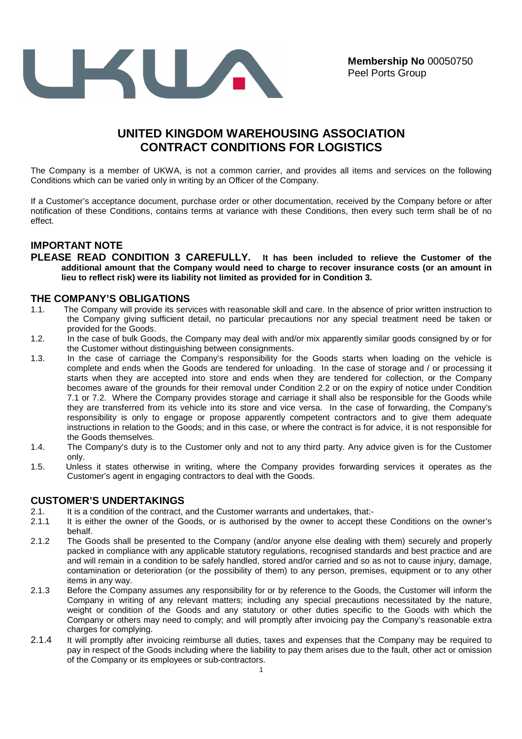

# **UNITED KINGDOM WAREHOUSING ASSOCIATION CONTRACT CONDITIONS FOR LOGISTICS**

The Company is a member of UKWA, is not a common carrier, and provides all items and services on the following Conditions which can be varied only in writing by an Officer of the Company.

If a Customer's acceptance document, purchase order or other documentation, received by the Company before or after notification of these Conditions, contains terms at variance with these Conditions, then every such term shall be of no effect.

## **IMPORTANT NOTE**

**PLEASE READ CONDITION 3 CAREFULLY. It has been included to relieve the Customer of the additional amount that the Company would need to charge to recover insurance costs (or an amount in lieu to reflect risk) were its liability not limited as provided for in Condition 3.** 

## **THE COMPANY'S OBLIGATIONS**

- 1.1. The Company will provide its services with reasonable skill and care. In the absence of prior written instruction to the Company giving sufficient detail, no particular precautions nor any special treatment need be taken or provided for the Goods.
- 1.2. In the case of bulk Goods, the Company may deal with and/or mix apparently similar goods consigned by or for the Customer without distinguishing between consignments.
- 1.3. In the case of carriage the Company's responsibility for the Goods starts when loading on the vehicle is complete and ends when the Goods are tendered for unloading. In the case of storage and / or processing it starts when they are accepted into store and ends when they are tendered for collection, or the Company becomes aware of the grounds for their removal under Condition 2.2 or on the expiry of notice under Condition 7.1 or 7.2. Where the Company provides storage and carriage it shall also be responsible for the Goods while they are transferred from its vehicle into its store and vice versa. In the case of forwarding, the Company's responsibility is only to engage or propose apparently competent contractors and to give them adequate instructions in relation to the Goods; and in this case, or where the contract is for advice, it is not responsible for the Goods themselves.
- 1.4. The Company's duty is to the Customer only and not to any third party. Any advice given is for the Customer only.
- 1.5. Unless it states otherwise in writing, where the Company provides forwarding services it operates as the Customer's agent in engaging contractors to deal with the Goods.

## **CUSTOMER'S UNDERTAKINGS**

- 2.1. It is a condition of the contract, and the Customer warrants and undertakes, that:-
- 2.1.1 It is either the owner of the Goods, or is authorised by the owner to accept these Conditions on the owner's behalf.
- 2.1.2 The Goods shall be presented to the Company (and/or anyone else dealing with them) securely and properly packed in compliance with any applicable statutory regulations, recognised standards and best practice and are and will remain in a condition to be safely handled, stored and/or carried and so as not to cause injury, damage, contamination or deterioration (or the possibility of them) to any person, premises, equipment or to any other items in any way.
- 2.1.3 Before the Company assumes any responsibility for or by reference to the Goods, the Customer will inform the Company in writing of any relevant matters; including any special precautions necessitated by the nature, weight or condition of the Goods and any statutory or other duties specific to the Goods with which the Company or others may need to comply; and will promptly after invoicing pay the Company's reasonable extra charges for complying.
- 2.1.4 It will promptly after invoicing reimburse all duties, taxes and expenses that the Company may be required to pay in respect of the Goods including where the liability to pay them arises due to the fault, other act or omission of the Company or its employees or sub-contractors.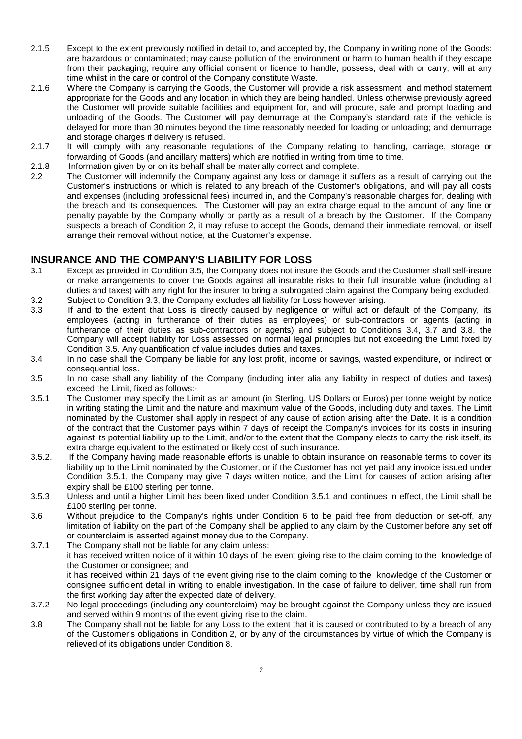- 2.1.5 Except to the extent previously notified in detail to, and accepted by, the Company in writing none of the Goods: are hazardous or contaminated; may cause pollution of the environment or harm to human health if they escape from their packaging; require any official consent or licence to handle, possess, deal with or carry; will at any time whilst in the care or control of the Company constitute Waste.
- 2.1.6 Where the Company is carrying the Goods, the Customer will provide a risk assessment and method statement appropriate for the Goods and any location in which they are being handled. Unless otherwise previously agreed the Customer will provide suitable facilities and equipment for, and will procure, safe and prompt loading and unloading of the Goods. The Customer will pay demurrage at the Company's standard rate if the vehicle is delayed for more than 30 minutes beyond the time reasonably needed for loading or unloading; and demurrage and storage charges if delivery is refused.
- 2.1.7 It will comply with any reasonable regulations of the Company relating to handling, carriage, storage or forwarding of Goods (and ancillary matters) which are notified in writing from time to time.
- 2.1.8 Information given by or on its behalf shall be materially correct and complete.
- 2.2 The Customer will indemnify the Company against any loss or damage it suffers as a result of carrying out the Customer's instructions or which is related to any breach of the Customer's obligations, and will pay all costs and expenses (including professional fees) incurred in, and the Company's reasonable charges for, dealing with the breach and its consequences. The Customer will pay an extra charge equal to the amount of any fine or penalty payable by the Company wholly or partly as a result of a breach by the Customer. If the Company suspects a breach of Condition 2, it may refuse to accept the Goods, demand their immediate removal, or itself arrange their removal without notice, at the Customer's expense.

## **INSURANCE AND THE COMPANY'S LIABILITY FOR LOSS**

- 3.1 Except as provided in Condition 3.5, the Company does not insure the Goods and the Customer shall self-insure or make arrangements to cover the Goods against all insurable risks to their full insurable value (including all duties and taxes) with any right for the insurer to bring a subrogated claim against the Company being excluded. 3.2 Subject to Condition 3.3, the Company excludes all liability for Loss however arising.
- 3.3 If and to the extent that Loss is directly caused by negligence or wilful act or default of the Company, its employees (acting in furtherance of their duties as employees) or sub-contractors or agents (acting in furtherance of their duties as sub-contractors or agents) and subject to Conditions 3.4, 3.7 and 3.8, the Company will accept liability for Loss assessed on normal legal principles but not exceeding the Limit fixed by Condition 3.5. Any quantification of value includes duties and taxes.
- 3.4 In no case shall the Company be liable for any lost profit, income or savings, wasted expenditure, or indirect or consequential loss.
- 3.5 In no case shall any liability of the Company (including inter alia any liability in respect of duties and taxes) exceed the Limit, fixed as follows:-
- 3.5.1 The Customer may specify the Limit as an amount (in Sterling, US Dollars or Euros) per tonne weight by notice in writing stating the Limit and the nature and maximum value of the Goods, including duty and taxes. The Limit nominated by the Customer shall apply in respect of any cause of action arising after the Date. It is a condition of the contract that the Customer pays within 7 days of receipt the Company's invoices for its costs in insuring against its potential liability up to the Limit, and/or to the extent that the Company elects to carry the risk itself, its extra charge equivalent to the estimated or likely cost of such insurance.
- 3.5.2. If the Company having made reasonable efforts is unable to obtain insurance on reasonable terms to cover its liability up to the Limit nominated by the Customer, or if the Customer has not yet paid any invoice issued under Condition 3.5.1, the Company may give 7 days written notice, and the Limit for causes of action arising after expiry shall be £100 sterling per tonne.
- 3.5.3 Unless and until a higher Limit has been fixed under Condition 3.5.1 and continues in effect, the Limit shall be £100 sterling per tonne.
- 3.6 Without prejudice to the Company's rights under Condition 6 to be paid free from deduction or set-off, any limitation of liability on the part of the Company shall be applied to any claim by the Customer before any set off or counterclaim is asserted against money due to the Company.
- 3.7.1 The Company shall not be liable for any claim unless: it has received written notice of it within 10 days of the event giving rise to the claim coming to the knowledge of the Customer or consignee; and it has received within 21 days of the event giving rise to the claim coming to the knowledge of the Customer or consignee sufficient detail in writing to enable investigation. In the case of failure to deliver, time shall run from the first working day after the expected date of delivery. 3.7.2 No legal proceedings (including any counterclaim) may be brought against the Company unless they are issued
- and served within 9 months of the event giving rise to the claim.
- 3.8 The Company shall not be liable for any Loss to the extent that it is caused or contributed to by a breach of any of the Customer's obligations in Condition 2, or by any of the circumstances by virtue of which the Company is relieved of its obligations under Condition 8.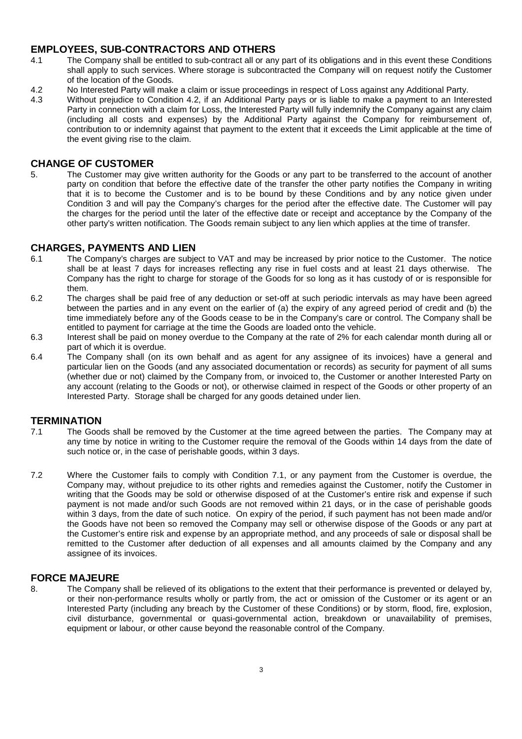## **EMPLOYEES, SUB-CONTRACTORS AND OTHERS**

- 4.1 The Company shall be entitled to sub-contract all or any part of its obligations and in this event these Conditions shall apply to such services. Where storage is subcontracted the Company will on request notify the Customer of the location of the Goods.
- 4.2 No Interested Party will make a claim or issue proceedings in respect of Loss against any Additional Party.
- 4.3 Without prejudice to Condition 4.2, if an Additional Party pays or is liable to make a payment to an Interested Party in connection with a claim for Loss, the Interested Party will fully indemnify the Company against any claim (including all costs and expenses) by the Additional Party against the Company for reimbursement of, contribution to or indemnity against that payment to the extent that it exceeds the Limit applicable at the time of the event giving rise to the claim.

### **CHANGE OF CUSTOMER**

5. The Customer may give written authority for the Goods or any part to be transferred to the account of another party on condition that before the effective date of the transfer the other party notifies the Company in writing that it is to become the Customer and is to be bound by these Conditions and by any notice given under Condition 3 and will pay the Company's charges for the period after the effective date. The Customer will pay the charges for the period until the later of the effective date or receipt and acceptance by the Company of the other party's written notification. The Goods remain subject to any lien which applies at the time of transfer.

#### **CHARGES, PAYMENTS AND LIEN**

- 6.1 The Company's charges are subject to VAT and may be increased by prior notice to the Customer. The notice shall be at least 7 days for increases reflecting any rise in fuel costs and at least 21 days otherwise. The Company has the right to charge for storage of the Goods for so long as it has custody of or is responsible for them.
- 6.2 The charges shall be paid free of any deduction or set-off at such periodic intervals as may have been agreed between the parties and in any event on the earlier of (a) the expiry of any agreed period of credit and (b) the time immediately before any of the Goods cease to be in the Company's care or control. The Company shall be entitled to payment for carriage at the time the Goods are loaded onto the vehicle.
- 6.3 Interest shall be paid on money overdue to the Company at the rate of 2% for each calendar month during all or part of which it is overdue.
- 6.4 The Company shall (on its own behalf and as agent for any assignee of its invoices) have a general and particular lien on the Goods (and any associated documentation or records) as security for payment of all sums (whether due or not) claimed by the Company from, or invoiced to, the Customer or another Interested Party on any account (relating to the Goods or not), or otherwise claimed in respect of the Goods or other property of an Interested Party. Storage shall be charged for any goods detained under lien.

#### **TERMINATION**

- 7.1 The Goods shall be removed by the Customer at the time agreed between the parties. The Company may at any time by notice in writing to the Customer require the removal of the Goods within 14 days from the date of such notice or, in the case of perishable goods, within 3 days.
- 7.2 Where the Customer fails to comply with Condition 7.1, or any payment from the Customer is overdue, the Company may, without prejudice to its other rights and remedies against the Customer, notify the Customer in writing that the Goods may be sold or otherwise disposed of at the Customer's entire risk and expense if such payment is not made and/or such Goods are not removed within 21 days, or in the case of perishable goods within 3 days, from the date of such notice. On expiry of the period, if such payment has not been made and/or the Goods have not been so removed the Company may sell or otherwise dispose of the Goods or any part at the Customer's entire risk and expense by an appropriate method, and any proceeds of sale or disposal shall be remitted to the Customer after deduction of all expenses and all amounts claimed by the Company and any assignee of its invoices.

#### **FORCE MAJEURE**

8. The Company shall be relieved of its obligations to the extent that their performance is prevented or delayed by, or their non-performance results wholly or partly from, the act or omission of the Customer or its agent or an Interested Party (including any breach by the Customer of these Conditions) or by storm, flood, fire, explosion, civil disturbance, governmental or quasi-governmental action, breakdown or unavailability of premises, equipment or labour, or other cause beyond the reasonable control of the Company.